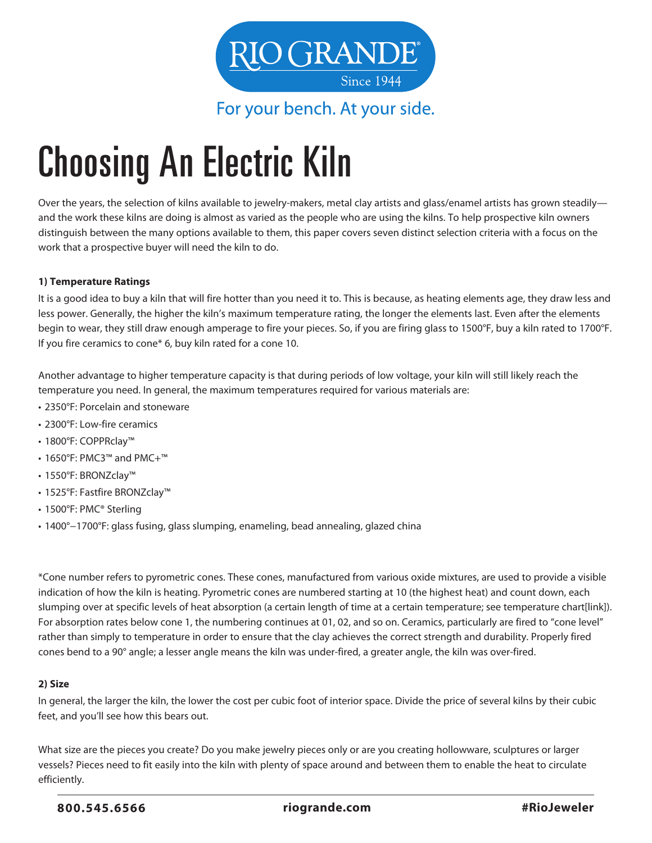

For your bench. At your side.

# Choosing An Electric Kiln

Over the years, the selection of kilns available to jewelry-makers, metal clay artists and glass/enamel artists has grown steadily and the work these kilns are doing is almost as varied as the people who are using the kilns. To help prospective kiln owners distinguish between the many options available to them, this paper covers seven distinct selection criteria with a focus on the work that a prospective buyer will need the kiln to do.

### **1) Temperature Ratings**

It is a good idea to buy a kiln that will fire hotter than you need it to. This is because, as heating elements age, they draw less and less power. Generally, the higher the kiln's maximum temperature rating, the longer the elements last. Even after the elements begin to wear, they still draw enough amperage to fire your pieces. So, if you are firing glass to 1500°F, buy a kiln rated to 1700°F. If you fire ceramics to cone\* 6, buy kiln rated for a cone 10.

Another advantage to higher temperature capacity is that during periods of low voltage, your kiln will still likely reach the temperature you need. In general, the maximum temperatures required for various materials are:

- 2350°F: Porcelain and stoneware
- 2300°F: Low-fire ceramics
- 1800°F: COPPRclay™
- 1650°F: PMC3™ and PMC+™
- 1550°F: BRONZclay™
- 1525°F: Fastfire BRONZclay™
- 1500°F: PMC® Sterling
- 1400°−1700°F: glass fusing, glass slumping, enameling, bead annealing, glazed china

\*Cone number refers to pyrometric cones. These cones, manufactured from various oxide mixtures, are used to provide a visible indication of how the kiln is heating. Pyrometric cones are numbered starting at 10 (the highest heat) and count down, each slumping over at specific levels of heat absorption (a certain length of time at a certain temperature; see temperature chart[link]). For absorption rates below cone 1, the numbering continues at 01, 02, and so on. Ceramics, particularly are fired to "cone level" rather than simply to temperature in order to ensure that the clay achieves the correct strength and durability. Properly fired cones bend to a 90° angle; a lesser angle means the kiln was under-fired, a greater angle, the kiln was over-fired.

#### **2) Size**

In general, the larger the kiln, the lower the cost per cubic foot of interior space. Divide the price of several kilns by their cubic feet, and you'll see how this bears out.

What size are the pieces you create? Do you make jewelry pieces only or are you creating hollowware, sculptures or larger vessels? Pieces need to fit easily into the kiln with plenty of space around and between them to enable the heat to circulate efficiently.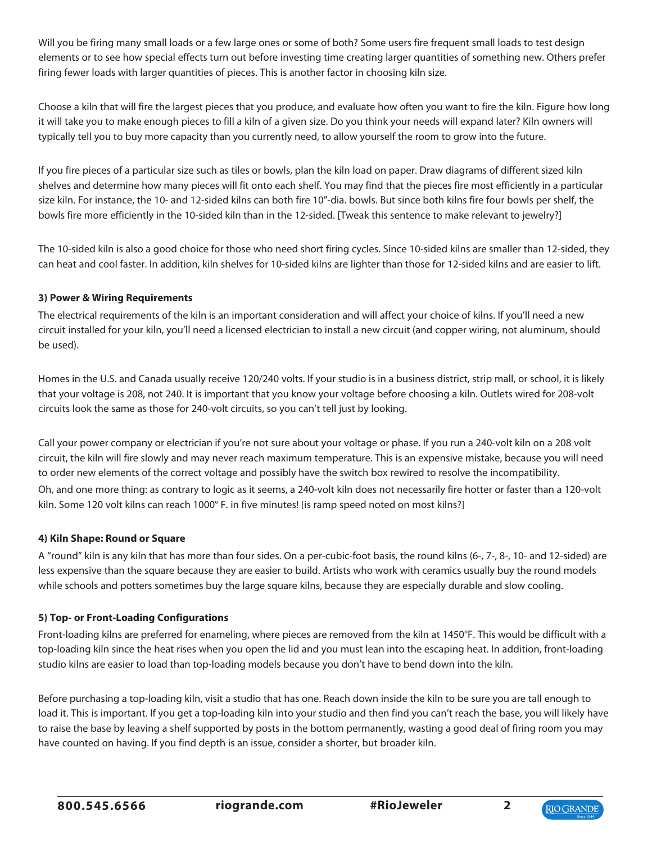Will you be firing many small loads or a few large ones or some of both? Some users fire frequent small loads to test design elements or to see how special effects turn out before investing time creating larger quantities of something new. Others prefer firing fewer loads with larger quantities of pieces. This is another factor in choosing kiln size.

Choose a kiln that will fire the largest pieces that you produce, and evaluate how often you want to fire the kiln. Figure how long it will take you to make enough pieces to fill a kiln of a given size. Do you think your needs will expand later? Kiln owners will typically tell you to buy more capacity than you currently need, to allow yourself the room to grow into the future.

If you fire pieces of a particular size such as tiles or bowls, plan the kiln load on paper. Draw diagrams of different sized kiln shelves and determine how many pieces will fit onto each shelf. You may find that the pieces fire most efficiently in a particular size kiln. For instance, the 10- and 12-sided kilns can both fire 10"-dia. bowls. But since both kilns fire four bowls per shelf, the bowls fire more efficiently in the 10-sided kiln than in the 12-sided. [Tweak this sentence to make relevant to jewelry?]

The 10-sided kiln is also a good choice for those who need short firing cycles. Since 10-sided kilns are smaller than 12-sided, they can heat and cool faster. In addition, kiln shelves for 10-sided kilns are lighter than those for 12-sided kilns and are easier to lift.

## **3) Power & Wiring Requirements**

The electrical requirements of the kiln is an important consideration and will affect your choice of kilns. If you'll need a new circuit installed for your kiln, you'll need a licensed electrician to install a new circuit (and copper wiring, not aluminum, should be used).

Homes in the U.S. and Canada usually receive 120/240 volts. If your studio is in a business district, strip mall, or school, it is likely that your voltage is 208, not 240. It is important that you know your voltage before choosing a kiln. Outlets wired for 208-volt circuits look the same as those for 240-volt circuits, so you can't tell just by looking.

Call your power company or electrician if you're not sure about your voltage or phase. If you run a 240-volt kiln on a 208 volt circuit, the kiln will fire slowly and may never reach maximum temperature. This is an expensive mistake, because you will need to order new elements of the correct voltage and possibly have the switch box rewired to resolve the incompatibility. Oh, and one more thing: as contrary to logic as it seems, a 240-volt kiln does not necessarily fire hotter or faster than a 120-volt kiln. Some 120 volt kilns can reach 1000° F. in five minutes! [is ramp speed noted on most kilns?]

### **4) Kiln Shape: Round or Square**

A "round" kiln is any kiln that has more than four sides. On a per-cubic-foot basis, the round kilns (6-, 7-, 8-, 10- and 12-sided) are less expensive than the square because they are easier to build. Artists who work with ceramics usually buy the round models while schools and potters sometimes buy the large square kilns, because they are especially durable and slow cooling.

## **5) Top- or Front-Loading Configurations**

Front-loading kilns are preferred for enameling, where pieces are removed from the kiln at 1450°F. This would be difficult with a top-loading kiln since the heat rises when you open the lid and you must lean into the escaping heat. In addition, front-loading studio kilns are easier to load than top-loading models because you don't have to bend down into the kiln.

Before purchasing a top-loading kiln, visit a studio that has one. Reach down inside the kiln to be sure you are tall enough to load it. This is important. If you get a top-loading kiln into your studio and then find you can't reach the base, you will likely have to raise the base by leaving a shelf supported by posts in the bottom permanently, wasting a good deal of firing room you may have counted on having. If you find depth is an issue, consider a shorter, but broader kiln.